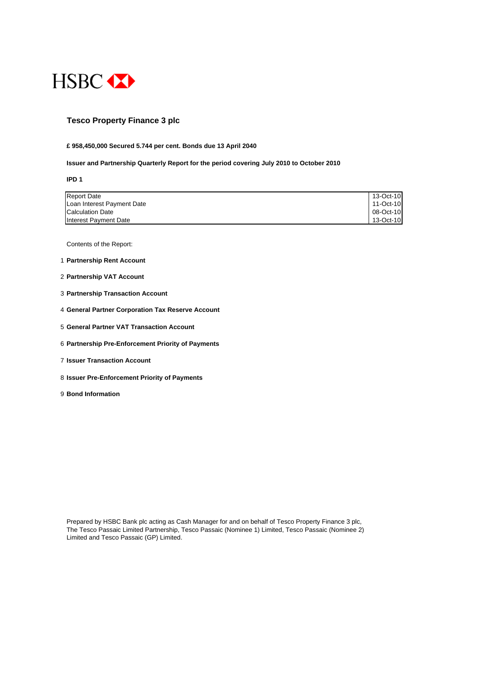

## **Tesco Property Finance 3 plc**

#### **£ 958,450,000 Secured 5.744 per cent. Bonds due 13 April 2040**

#### **Issuer and Partnership Quarterly Report for the period covering July 2010 to October 2010**

**IPD 1**

| <b>Report Date</b>         | 13-Oct-10 |
|----------------------------|-----------|
| Loan Interest Payment Date | 11-Oct-10 |
| <b>Calculation Date</b>    | 08-Oct-10 |
| Interest Payment Date      | 13-Oct-10 |

Contents of the Report:

- 1 **Partnership Rent Account**
- 2 **Partnership VAT Account**
- 3 **Partnership Transaction Account**
- 4 **General Partner Corporation Tax Reserve Account**
- 5 **General Partner VAT Transaction Account**
- 6 **Partnership Pre-Enforcement Priority of Payments**
- 7 **Issuer Transaction Account**
- 8 **Issuer Pre-Enforcement Priority of Payments**
- 9 **Bond Information**

Prepared by HSBC Bank plc acting as Cash Manager for and on behalf of Tesco Property Finance 3 plc, The Tesco Passaic Limited Partnership, Tesco Passaic (Nominee 1) Limited, Tesco Passaic (Nominee 2) Limited and Tesco Passaic (GP) Limited.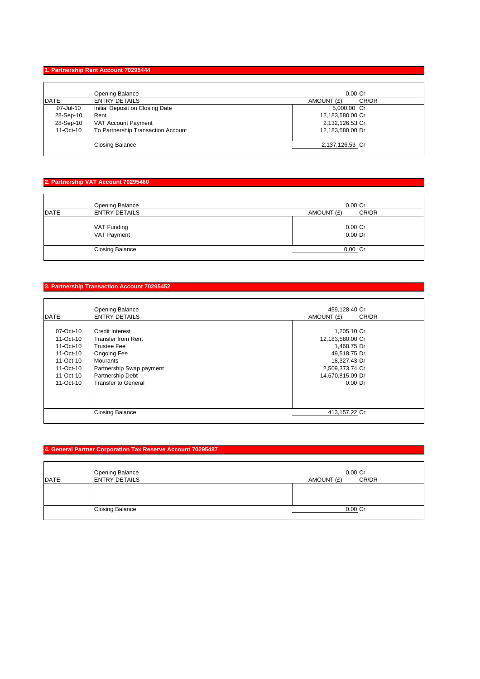## **1. Partnership Rent Account 70295444**

|             | Opening Balance                    | $0.00$ Cr           |  |
|-------------|------------------------------------|---------------------|--|
| <b>DATE</b> | <b>ENTRY DETAILS</b>               | CR/DR<br>AMOUNT (£) |  |
| 07-Jul-10   | Initial Deposit on Closing Date    | 5,000.00 Cr         |  |
| 28-Sep-10   | Rent                               | 12,183,580.00 Cr    |  |
| 28-Sep-10   | VAT Account Payment                | 2,132,126.53 Cr     |  |
| 11-Oct-10   | To Partnership Transaction Account | 12,183,580.00 Dr    |  |
|             |                                    |                     |  |
|             | <b>Closing Balance</b>             | 2,137,126.53 Cr     |  |

## **2. Partnership VAT Account 70295460**

|             | Opening Balance            | $0.00$ Cr           |
|-------------|----------------------------|---------------------|
| <b>DATE</b> | <b>ENTRY DETAILS</b>       | CR/DR<br>AMOUNT (£) |
|             | VAT Funding<br>VAT Payment | 0.00 Cr<br>0.00 Dr  |
|             | <b>Closing Balance</b>     | 0.00 Cr             |

#### **3. Partnership Transaction Account 70295452**

|             | Opening Balance           | 459.128.40 Cr    |       |
|-------------|---------------------------|------------------|-------|
| <b>DATE</b> | <b>ENTRY DETAILS</b>      | AMOUNT (£)       | CR/DR |
|             |                           |                  |       |
| 07-Oct-10   | <b>Credit Interest</b>    | 1,205.10 Cr      |       |
| 11-Oct-10   | <b>Transfer from Rent</b> | 12,183,580.00 Cr |       |
| 11-Oct-10   | <b>Trustee Fee</b>        | 1,468.75 Dr      |       |
| 11-Oct-10   | <b>Ongoing Fee</b>        | 49,518.75 Dr     |       |
| 11-Oct-10   | <b>Mourants</b>           | 18,327.43 Dr     |       |
| 11-Oct-10   | Partnership Swap payment  | 2,509,373.74 Cr  |       |
| 11-Oct-10   | <b>Partnership Debt</b>   | 14,670,815.09 Dr |       |
| 11-Oct-10   | Transfer to General       | $0.00$ Dr        |       |
|             |                           |                  |       |
|             |                           |                  |       |
|             | <b>Closing Balance</b>    | 413,157.22 Cr    |       |

## **4. General Partner Corporation Tax Reserve Account 70295487**

|             | Opening Balance        | $0.00$ Cr  |       |
|-------------|------------------------|------------|-------|
| <b>DATE</b> | <b>ENTRY DETAILS</b>   | AMOUNT (£) | CR/DR |
|             |                        |            |       |
|             |                        |            |       |
|             |                        |            |       |
|             | <b>Closing Balance</b> | 0.00 Cr    |       |
|             |                        |            |       |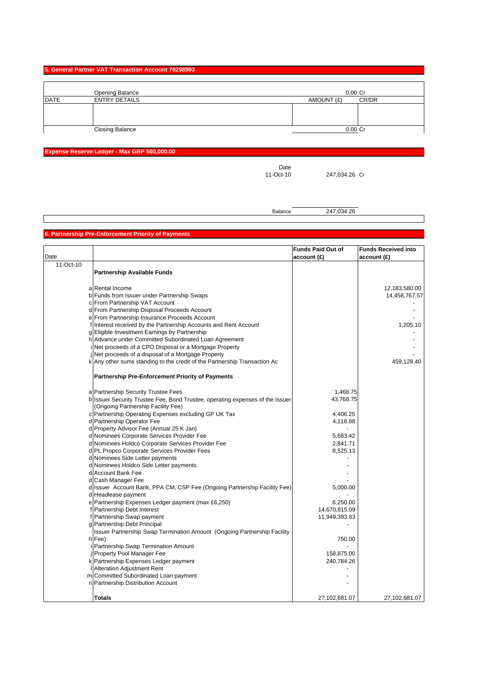#### **5. General Partner VAT Transaction Account 70298993**

|      | Opening Balance        | $0.00$ Cr  |       |
|------|------------------------|------------|-------|
| DATE | <b>ENTRY DETAILS</b>   | AMOUNT (£) | CR/DR |
|      |                        |            |       |
|      |                        |            |       |
|      |                        |            |       |
|      | <b>Closing Balance</b> | 0.00 Cr    |       |

## **Expense Reserve Ledger - Max GBP 500,000.00**

Date<br>11-Oct-10

247,034.26 Cr

Balance 247,034.26

## **6. Partnership Pre-Enforcement Priority of Payments**

|           |                                                                               | <b>Funds Paid Out of</b> | <b>Funds Received into</b> |
|-----------|-------------------------------------------------------------------------------|--------------------------|----------------------------|
| Date      |                                                                               | account (£)              | account(E)                 |
| 11-Oct-10 |                                                                               |                          |                            |
|           | <b>Partnership Available Funds</b>                                            |                          |                            |
|           |                                                                               |                          |                            |
|           | a Rental Income                                                               |                          | 12,183,580.00              |
|           | b Funds from Issuer under Partnership Swaps                                   |                          | 14,458,767.57              |
|           | c From Partnership VAT Account                                                |                          |                            |
|           | d From Partnership Disposal Proceeds Account                                  |                          |                            |
|           | e From Partnership Insurance Proceeds Account                                 |                          |                            |
|           | f Interest received by the Partnership Accounts and Rent Account              |                          | 1,205.10                   |
|           | g Eligible Investment Earnings by Partnership                                 |                          |                            |
|           | h Advance under Committed Subordinated Loan Agreement                         |                          |                            |
|           | i Net proceeds of a CPO Disposal or a Mortgage Property                       |                          |                            |
|           | j Net proceeds of a disposal of a Mortgage Property                           |                          |                            |
|           | k Any other sums standing to the credit of the Partnership Transaction Ac     |                          | 459,128.40                 |
|           |                                                                               |                          |                            |
|           | <b>Partnership Pre-Enforcement Priority of Payments</b>                       |                          |                            |
|           |                                                                               |                          |                            |
|           | a Partnership Security Trustee Fees                                           | 1,468.75                 |                            |
|           | b Issuer Security Trustee Fee, Bond Trustee, operating expenses of the Issuer | 43,768.75                |                            |
|           | (Ongoing Partnership Facility Fee)                                            |                          |                            |
|           | c Partnership Operating Expenses excluding GP UK Tax                          | 4,406.25                 |                            |
|           | d Partnership Operator Fee                                                    | 4,118.88                 |                            |
|           | d Property Advisor Fee (Annual 25 K Jan)                                      |                          |                            |
|           | d Nominees Corporate Services Provider Fee                                    | 5,683.42                 |                            |
|           | d Nominees Holdco Corporate Services Provider Fee                             | 2,841.71                 |                            |
|           | d PL Propco Corporate Services Provider Fees                                  | 8,525.13                 |                            |
|           | d Nominees Side Letter payments                                               |                          |                            |
|           | d Nominees Holdco Side Letter payments                                        |                          |                            |
|           | d Account Bank Fee                                                            |                          |                            |
|           | d Cash Manager Fee                                                            |                          |                            |
|           | d Issuer Account Bank, PPA CM, CSP Fee (Ongoing Partnership Facility Fee)     | 5,000.00                 |                            |
|           | d Headlease payment                                                           |                          |                            |
|           | e Partnership Expenses Ledger payment (max £6,250)                            | 6,250.00                 |                            |
|           | f Partnership Debt Interest                                                   | 14,670,815.09            |                            |
|           | f Partnership Swap payment                                                    | 11,949,393.83            |                            |
|           | g Partnership Debt Principal                                                  |                          |                            |
|           | Issuer Partnership Swap Termination Amount (Ongoing Partnership Facility      |                          |                            |
|           | h Fee)                                                                        | 750.00                   |                            |
|           | Partnership Swap Termination Amount                                           |                          |                            |
|           | j Property Pool Manager Fee                                                   | 158,875.00               |                            |
|           | k Partnership Expenses Ledger payment                                         | 240,784.26               |                            |
|           | Alteration Adjustment Rent                                                    |                          |                            |
|           | m Committed Subordinated Loan payment                                         |                          |                            |
|           | n Partnership Distribution Account                                            |                          |                            |
|           |                                                                               |                          |                            |
|           | <b>Totals</b>                                                                 | 27,102,681.07            | 27,102,681.07              |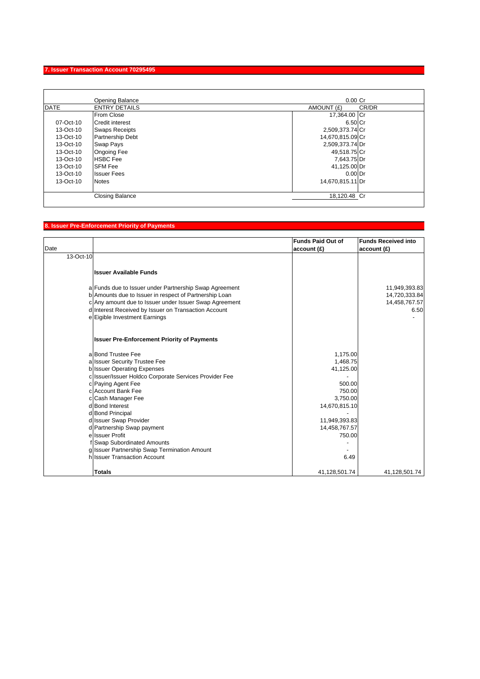## **7. Issuer Transaction Account 70295495**

|             | Opening Balance         | $0.00$ Cr        |       |
|-------------|-------------------------|------------------|-------|
| <b>DATE</b> | <b>ENTRY DETAILS</b>    | AMOUNT (£)       | CR/DR |
|             | <b>From Close</b>       | 17,364.00 Cr     |       |
| 07-Oct-10   | <b>Credit interest</b>  | 6.50 Cr          |       |
| 13-Oct-10   | <b>Swaps Receipts</b>   | 2,509,373.74 Cr  |       |
| 13-Oct-10   | <b>Partnership Debt</b> | 14,670,815.09 Cr |       |
| 13-Oct-10   | <b>Swap Pays</b>        | 2,509,373.74 Dr  |       |
| 13-Oct-10   | <b>Ongoing Fee</b>      | 49,518.75 Cr     |       |
| 13-Oct-10   | <b>HSBC</b> Fee         | 7,643.75 Dr      |       |
| 13-Oct-10   | <b>SFM Fee</b>          | 41,125.00 Dr     |       |
| 13-Oct-10   | <b>Issuer Fees</b>      | $0.00$ Dr        |       |
| 13-Oct-10   | <b>Notes</b>            | 14,670,815.11 Dr |       |
|             | <b>Closing Balance</b>  | 18,120.48 Cr     |       |

# **8. Issuer Pre-Enforcement Priority of Payments**

|           |                                                        | <b>Funds Paid Out of</b> | <b>Funds Received into</b> |
|-----------|--------------------------------------------------------|--------------------------|----------------------------|
| Date      |                                                        | account (£)              | account(E)                 |
| 13-Oct-10 |                                                        |                          |                            |
|           |                                                        |                          |                            |
|           | <b>Issuer Available Funds</b>                          |                          |                            |
|           |                                                        |                          |                            |
|           | a Funds due to Issuer under Partnership Swap Agreement |                          | 11,949,393.83              |
|           | b Amounts due to Issuer in respect of Partnership Loan |                          | 14,720,333.84              |
|           | c Any amount due to Issuer under Issuer Swap Agreement |                          | 14,458,767.57              |
|           | d Interest Received by Issuer on Transaction Account   |                          | 6.50                       |
|           | e Eigible Investment Earnings                          |                          |                            |
|           | <b>Issuer Pre-Enforcement Priority of Payments</b>     |                          |                            |
|           | a Bond Trustee Fee                                     | 1,175.00                 |                            |
|           | a Issuer Security Trustee Fee                          | 1,468.75                 |                            |
|           | b Issuer Operating Expenses                            | 41,125.00                |                            |
|           | c Issuer/Issuer Holdco Corporate Services Provider Fee |                          |                            |
|           | c Paying Agent Fee                                     | 500.00                   |                            |
|           | c Account Bank Fee                                     | 750.00                   |                            |
|           | c Cash Manager Fee                                     | 3,750.00                 |                            |
|           | d Bond Interest                                        | 14,670,815.10            |                            |
|           | d Bond Principal                                       |                          |                            |
|           | d Issuer Swap Provider                                 | 11,949,393.83            |                            |
|           | d Partnership Swap payment                             | 14,458,767.57            |                            |
|           | e Issuer Profit                                        | 750.00                   |                            |
|           | Swap Subordinated Amounts                              |                          |                            |
|           | g Issuer Partnership Swap Termination Amount           |                          |                            |
|           | h Issuer Transaction Account                           | 6.49                     |                            |
|           | <b>Totals</b>                                          | 41,128,501.74            | 41,128,501.74              |